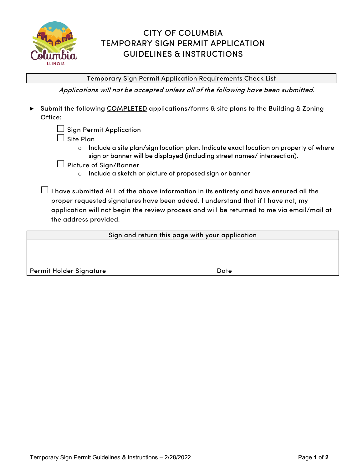

# CITY OF COLUMBIA TEMPORARY SIGN PERMIT APPLICATION GUIDELINES & INSTRUCTIONS

Temporary Sign Permit Application Requirements Check List

Applications will not be accepted unless all of the following have been submitted.

- **►** Submit the following COMPLETED applications/forms & site plans to the Building & Zoning Office:
	- $\Box$  Sign Permit Application
	- $\Box$  Site Plan
		- o Include a site plan/sign location plan. Indicate exact location on property of where sign or banner will be displayed (including street names/ intersection).
	- □ Picture of Sign/Banner
		- o Include a sketch or picture of proposed sign or banner

 $\Box$  I have submitted <u>ALL</u> of the above information in its entirety and have ensured all the proper requested signatures have been added. I understand that if I have not, my application will not begin the review process and will be returned to me via email/mail at the address provided.

Sign and return this page with your application

Permit Holder Signature **Date** Date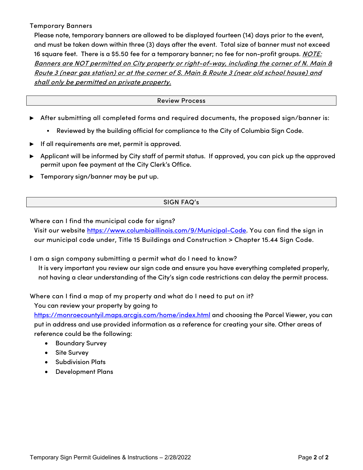Temporary Banners

Please note, temporary banners are allowed to be displayed fourteen (14) days prior to the event, and must be taken down within three (3) days after the event. Total size of banner must not exceed 16 square feet. There is a \$5.50 fee for a temporary banner; no fee for non-profit groups. *NOTE:* Banners are NOT permitted on City property or right-of-way, including the corner of N. Main & Route 3 (near gas station) or at the corner of S. Main & Route 3 (near old school house) and shall only be permitted on private property.

### Review Process

- **►** After submitting all completed forms and required documents, the proposed sign/banner is:
	- Reviewed by the building official for compliance to the City of Columbia Sign Code.
- **►** If all requirements are met, permit is approved.
- **►** Applicant will be informed by City staff of permit status. If approved, you can pick up the approved permit upon fee payment at the City Clerk's Office.
- ► Temporary sign/banner may be put up.

## SIGN FAQ's

Where can I find the municipal code for signs?

Visit our website https://www.columbiaillinois.com/9/Municipal-Code. You can find the sign in our municipal code under, Title 15 Buildings and Construction > Chapter 15.44 Sign Code.

I am a sign company submitting a permit what do I need to know?

It is very important you review our sign code and ensure you have everything completed properly, not having a clear understanding of the City's sign code restrictions can delay the permit process.

Where can I find a map of my property and what do I need to put on it?

You can review your property by going to

https://monroecountyil.maps.arcgis.com/home/index.html and choosing the Parcel Viewer, you can put in address and use provided information as a reference for creating your site. Other areas of reference could be the following:

- Boundary Survey
- Site Survey
- Subdivision Plats
- Development Plans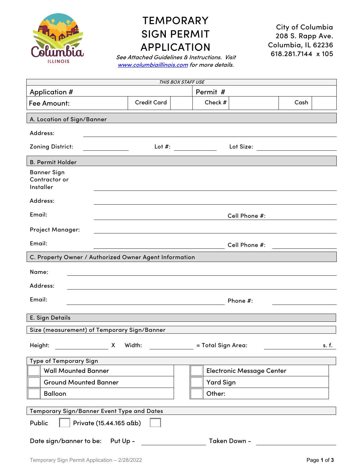

# **TEMPORARY** SIGN PERMIT APPLICATION

City of Columbia 208 S. Rapp Ave. Columbia, IL 62236 618.281.7144 x 105

See Attached Guidelines & Instructions. Visit www.columbiaillinois.com for more details.

| THIS BOX STAFF USE                                      |                                             |                        |                                  |  |  |  |
|---------------------------------------------------------|---------------------------------------------|------------------------|----------------------------------|--|--|--|
| Application #                                           |                                             | Permit #               |                                  |  |  |  |
| Fee Amount:                                             | <b>Credit Card</b>                          | Check #                | Cash                             |  |  |  |
| A. Location of Sign/Banner                              |                                             |                        |                                  |  |  |  |
| Address:                                                |                                             |                        |                                  |  |  |  |
| Zoning District:                                        |                                             | Lot #: $\qquad \qquad$ | Lot Size: _____________          |  |  |  |
| <b>B. Permit Holder</b>                                 |                                             |                        |                                  |  |  |  |
| <b>Banner Sign</b><br>Contractor or<br><b>Installer</b> |                                             |                        |                                  |  |  |  |
| Address:                                                |                                             |                        |                                  |  |  |  |
| Email:                                                  | Cell Phone #:                               |                        |                                  |  |  |  |
| <b>Project Manager:</b>                                 |                                             |                        |                                  |  |  |  |
| Email:                                                  | Cell Phone #:                               |                        |                                  |  |  |  |
| C. Property Owner / Authorized Owner Agent Information  |                                             |                        |                                  |  |  |  |
| Name:                                                   |                                             |                        |                                  |  |  |  |
| Address:                                                |                                             |                        |                                  |  |  |  |
| Email:                                                  |                                             | Phone #:               |                                  |  |  |  |
| E. Sign Details                                         |                                             |                        |                                  |  |  |  |
|                                                         | Size (measurement) of Temporary Sign/Banner |                        |                                  |  |  |  |
| Height:                                                 | $\pmb{\mathsf{X}}$<br>Width:                | = Total Sign Area:     | s. f.                            |  |  |  |
| Type of Temporary Sign                                  |                                             |                        |                                  |  |  |  |
| <b>Wall Mounted Banner</b>                              |                                             |                        | <b>Electronic Message Center</b> |  |  |  |
| <b>Ground Mounted Banner</b>                            |                                             | <b>Yard Sign</b>       |                                  |  |  |  |
| <b>Balloon</b>                                          |                                             | Other:                 |                                  |  |  |  |
| Temporary Sign/Banner Event Type and Dates              |                                             |                        |                                  |  |  |  |
| Public<br>Private (15.44.165 a&b)                       |                                             |                        |                                  |  |  |  |
| Date sign/banner to be:<br>Put Up -<br>Taken Down -     |                                             |                        |                                  |  |  |  |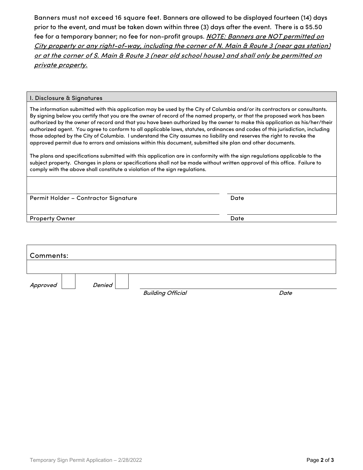Banners must not exceed 16 square feet. Banners are allowed to be displayed fourteen (14) days prior to the event, and must be taken down within three (3) days after the event. There is a \$5.50 fee for a temporary banner; no fee for non-profit groups. NOTE: Banners are NOT permitted on City property or any right-of-way, including the corner of N. Main & Route 3 (near gas station) or at the corner of S. Main & Route 3 (near old school house) and shall only be permitted on private property.

#### I. Disclosure & Signatures

The information submitted with this application may be used by the City of Columbia and/or its contractors or consultants. By signing below you certify that you are the owner of record of the named property, or that the proposed work has been authorized by the owner of record and that you have been authorized by the owner to make this application as his/her/their authorized agent. You agree to conform to all applicable laws, statutes, ordinances and codes of this jurisdiction, including those adopted by the City of Columbia. I understand the City assumes no liability and reserves the right to revoke the approved permit due to errors and omissions within this document, submitted site plan and other documents.

The plans and specifications submitted with this application are in conformity with the sign regulations applicable to the subject property. Changes in plans or specifications shall not be made without written approval of this office. Failure to comply with the above shall constitute a violation of the sign regulations.

| Date |
|------|
| Date |
|      |

| Comments: |        |                          |      |
|-----------|--------|--------------------------|------|
|           |        |                          |      |
| Approved  | Denied | <b>Building Official</b> | Date |